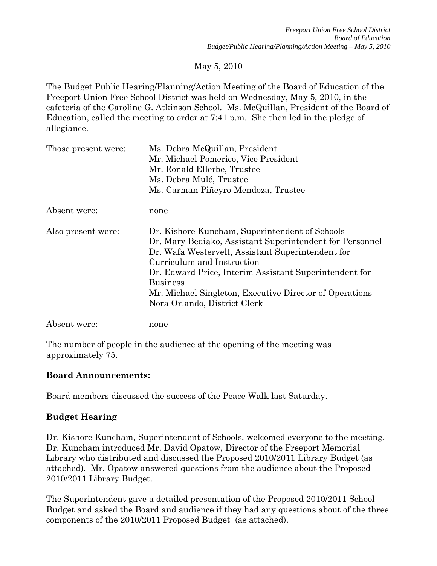# May 5, 2010

The Budget Public Hearing/Planning/Action Meeting of the Board of Education of the Freeport Union Free School District was held on Wednesday, May 5, 2010, in the cafeteria of the Caroline G. Atkinson School. Ms. McQuillan, President of the Board of Education, called the meeting to order at 7:41 p.m. She then led in the pledge of allegiance.

| Those present were: | Ms. Debra McQuillan, President<br>Mr. Michael Pomerico, Vice President<br>Mr. Ronald Ellerbe, Trustee<br>Ms. Debra Mulé, Trustee                                                                                                                                                                                                                                      |
|---------------------|-----------------------------------------------------------------------------------------------------------------------------------------------------------------------------------------------------------------------------------------------------------------------------------------------------------------------------------------------------------------------|
|                     | Ms. Carman Piñeyro-Mendoza, Trustee                                                                                                                                                                                                                                                                                                                                   |
| Absent were:        | none                                                                                                                                                                                                                                                                                                                                                                  |
| Also present were:  | Dr. Kishore Kuncham, Superintendent of Schools<br>Dr. Mary Bediako, Assistant Superintendent for Personnel<br>Dr. Wafa Westervelt, Assistant Superintendent for<br>Curriculum and Instruction<br>Dr. Edward Price, Interim Assistant Superintendent for<br><b>Business</b><br>Mr. Michael Singleton, Executive Director of Operations<br>Nora Orlando, District Clerk |
| Absent were:        | none                                                                                                                                                                                                                                                                                                                                                                  |

The number of people in the audience at the opening of the meeting was approximately 75.

#### **Board Announcements:**

Board members discussed the success of the Peace Walk last Saturday.

# **Budget Hearing**

Dr. Kishore Kuncham, Superintendent of Schools, welcomed everyone to the meeting. Dr. Kuncham introduced Mr. David Opatow, Director of the Freeport Memorial Library who distributed and discussed the Proposed 2010/2011 Library Budget (as attached). Mr. Opatow answered questions from the audience about the Proposed 2010/2011 Library Budget.

The Superintendent gave a detailed presentation of the Proposed 2010/2011 School Budget and asked the Board and audience if they had any questions about of the three components of the 2010/2011 Proposed Budget (as attached).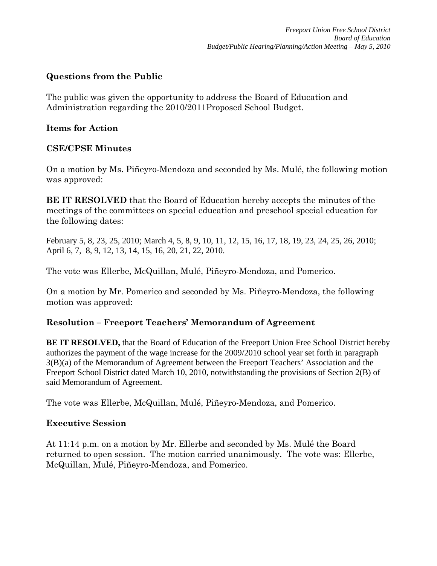# **Questions from the Public**

The public was given the opportunity to address the Board of Education and Administration regarding the 2010/2011Proposed School Budget.

#### **Items for Action**

# **CSE/CPSE Minutes**

On a motion by Ms. Piñeyro-Mendoza and seconded by Ms. Mulé, the following motion was approved:

**BE IT RESOLVED** that the Board of Education hereby accepts the minutes of the meetings of the committees on special education and preschool special education for the following dates:

February 5, 8, 23, 25, 2010; March 4, 5, 8, 9, 10, 11, 12, 15, 16, 17, 18, 19, 23, 24, 25, 26, 2010; April 6, 7, 8, 9, 12, 13, 14, 15, 16, 20, 21, 22, 2010.

The vote was Ellerbe, McQuillan, Mulé, Piñeyro-Mendoza, and Pomerico.

On a motion by Mr. Pomerico and seconded by Ms. Piñeyro-Mendoza, the following motion was approved:

# **Resolution – Freeport Teachers' Memorandum of Agreement**

**BE IT RESOLVED,** that the Board of Education of the Freeport Union Free School District hereby authorizes the payment of the wage increase for the 2009/2010 school year set forth in paragraph 3(B)(a) of the Memorandum of Agreement between the Freeport Teachers' Association and the Freeport School District dated March 10, 2010, notwithstanding the provisions of Section 2(B) of said Memorandum of Agreement.

The vote was Ellerbe, McQuillan, Mulé, Piñeyro-Mendoza, and Pomerico.

# **Executive Session**

At 11:14 p.m. on a motion by Mr. Ellerbe and seconded by Ms. Mulé the Board returned to open session. The motion carried unanimously. The vote was: Ellerbe, McQuillan, Mulé, Piñeyro-Mendoza, and Pomerico.